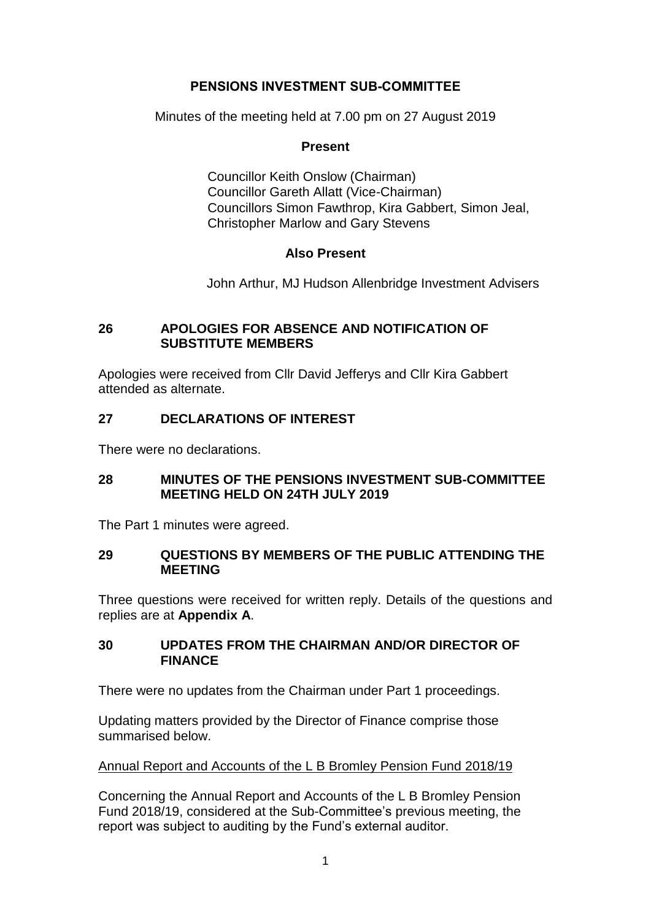# **PENSIONS INVESTMENT SUB-COMMITTEE**

Minutes of the meeting held at 7.00 pm on 27 August 2019

### **Present**

Councillor Keith Onslow (Chairman) Councillor Gareth Allatt (Vice-Chairman) Councillors Simon Fawthrop, Kira Gabbert, Simon Jeal, Christopher Marlow and Gary Stevens

## **Also Present**

John Arthur, MJ Hudson Allenbridge Investment Advisers

### **26 APOLOGIES FOR ABSENCE AND NOTIFICATION OF SUBSTITUTE MEMBERS**

Apologies were received from Cllr David Jefferys and Cllr Kira Gabbert attended as alternate.

## **27 DECLARATIONS OF INTEREST**

There were no declarations.

## **28 MINUTES OF THE PENSIONS INVESTMENT SUB-COMMITTEE MEETING HELD ON 24TH JULY 2019**

The Part 1 minutes were agreed.

## **29 QUESTIONS BY MEMBERS OF THE PUBLIC ATTENDING THE MEETING**

Three questions were received for written reply. Details of the questions and replies are at **Appendix A**.

## **30 UPDATES FROM THE CHAIRMAN AND/OR DIRECTOR OF FINANCE**

There were no updates from the Chairman under Part 1 proceedings.

Updating matters provided by the Director of Finance comprise those summarised below.

#### Annual Report and Accounts of the L B Bromley Pension Fund 2018/19

Concerning the Annual Report and Accounts of the L B Bromley Pension Fund 2018/19, considered at the Sub-Committee's previous meeting, the report was subject to auditing by the Fund's external auditor.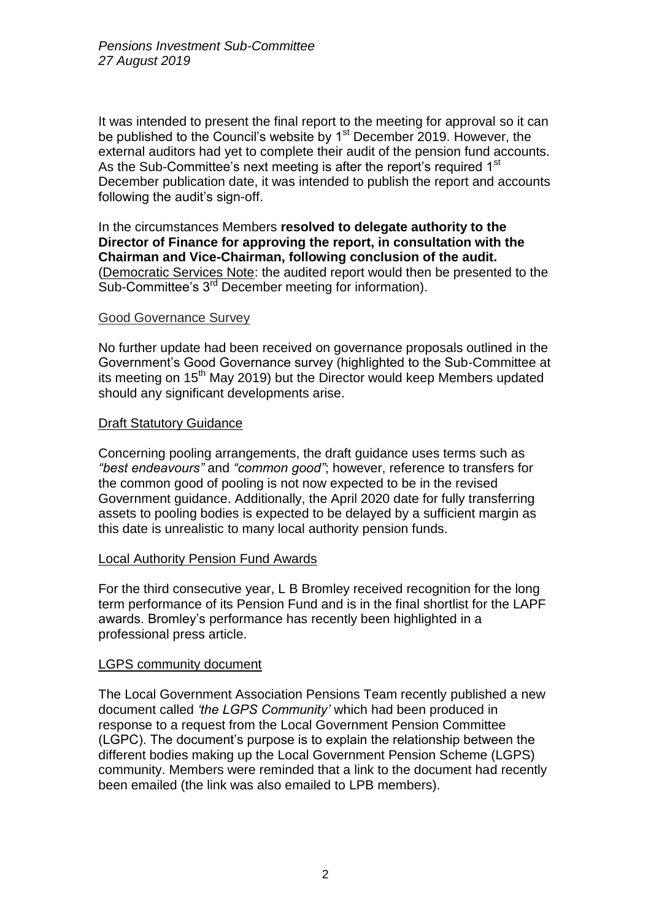It was intended to present the final report to the meeting for approval so it can be published to the Council's website by  $1<sup>st</sup>$  December 2019. However, the external auditors had yet to complete their audit of the pension fund accounts. As the Sub-Committee's next meeting is after the report's required 1<sup>st</sup> December publication date, it was intended to publish the report and accounts following the audit's sign-off.

In the circumstances Members **resolved to delegate authority to the Director of Finance for approving the report, in consultation with the Chairman and Vice-Chairman, following conclusion of the audit.**  (Democratic Services Note: the audited report would then be presented to the Sub-Committee's 3<sup>rd</sup> December meeting for information).

## Good Governance Survey

No further update had been received on governance proposals outlined in the Government's Good Governance survey (highlighted to the Sub-Committee at its meeting on 15<sup>th</sup> May 2019) but the Director would keep Members updated should any significant developments arise.

#### Draft Statutory Guidance

Concerning pooling arrangements, the draft guidance uses terms such as *"best endeavours"* and *"common good"*; however, reference to transfers for the common good of pooling is not now expected to be in the revised Government guidance. Additionally, the April 2020 date for fully transferring assets to pooling bodies is expected to be delayed by a sufficient margin as this date is unrealistic to many local authority pension funds.

## Local Authority Pension Fund Awards

For the third consecutive year, L B Bromley received recognition for the long term performance of its Pension Fund and is in the final shortlist for the LAPF awards. Bromley's performance has recently been highlighted in a professional press article.

## LGPS community document

The Local Government Association Pensions Team recently published a new document called *'the LGPS Community'* which had been produced in response to a request from the Local Government Pension Committee (LGPC). The document's purpose is to explain the relationship between the different bodies making up the Local Government Pension Scheme (LGPS) community. Members were reminded that a link to the document had recently been emailed (the link was also emailed to LPB members).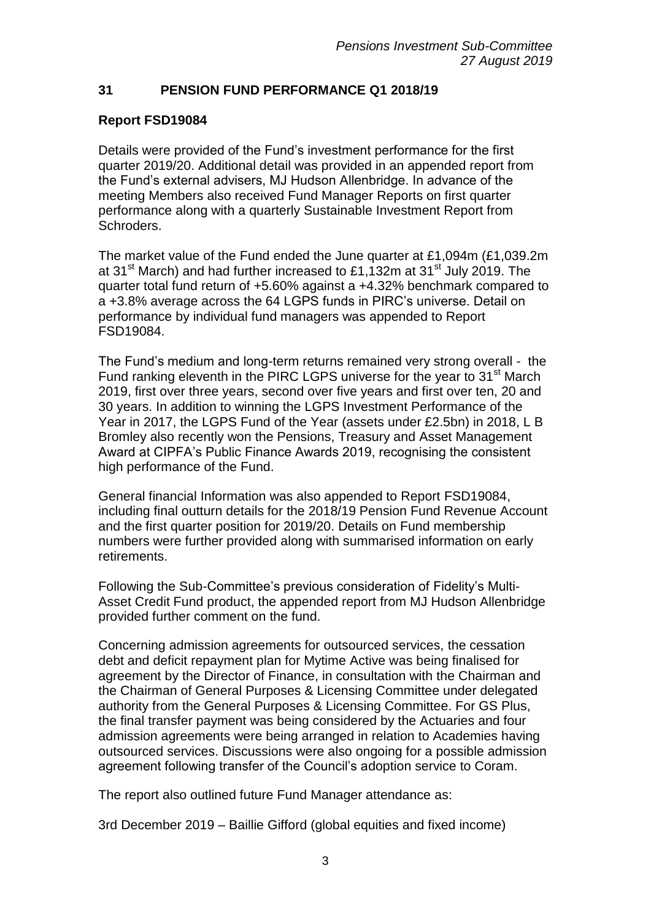# **31 PENSION FUND PERFORMANCE Q1 2018/19**

# **Report FSD19084**

Details were provided of the Fund's investment performance for the first quarter 2019/20. Additional detail was provided in an appended report from the Fund's external advisers, MJ Hudson Allenbridge. In advance of the meeting Members also received Fund Manager Reports on first quarter performance along with a quarterly Sustainable Investment Report from Schroders.

The market value of the Fund ended the June quarter at £1,094m (£1,039.2m at 31<sup>st</sup> March) and had further increased to £1,132m at 31<sup>st</sup> July 2019. The quarter total fund return of +5.60% against a +4.32% benchmark compared to a +3.8% average across the 64 LGPS funds in PIRC's universe. Detail on performance by individual fund managers was appended to Report FSD19084.

The Fund's medium and long-term returns remained very strong overall - the Fund ranking eleventh in the PIRC LGPS universe for the year to 31<sup>st</sup> March 2019, first over three years, second over five years and first over ten, 20 and 30 years. In addition to winning the LGPS Investment Performance of the Year in 2017, the LGPS Fund of the Year (assets under £2.5bn) in 2018, L B Bromley also recently won the Pensions, Treasury and Asset Management Award at CIPFA's Public Finance Awards 2019, recognising the consistent high performance of the Fund.

General financial Information was also appended to Report FSD19084, including final outturn details for the 2018/19 Pension Fund Revenue Account and the first quarter position for 2019/20. Details on Fund membership numbers were further provided along with summarised information on early retirements.

Following the Sub-Committee's previous consideration of Fidelity's Multi-Asset Credit Fund product, the appended report from MJ Hudson Allenbridge provided further comment on the fund.

Concerning admission agreements for outsourced services, the cessation debt and deficit repayment plan for Mytime Active was being finalised for agreement by the Director of Finance, in consultation with the Chairman and the Chairman of General Purposes & Licensing Committee under delegated authority from the General Purposes & Licensing Committee. For GS Plus, the final transfer payment was being considered by the Actuaries and four admission agreements were being arranged in relation to Academies having outsourced services. Discussions were also ongoing for a possible admission agreement following transfer of the Council's adoption service to Coram.

The report also outlined future Fund Manager attendance as:

3rd December 2019 – Baillie Gifford (global equities and fixed income)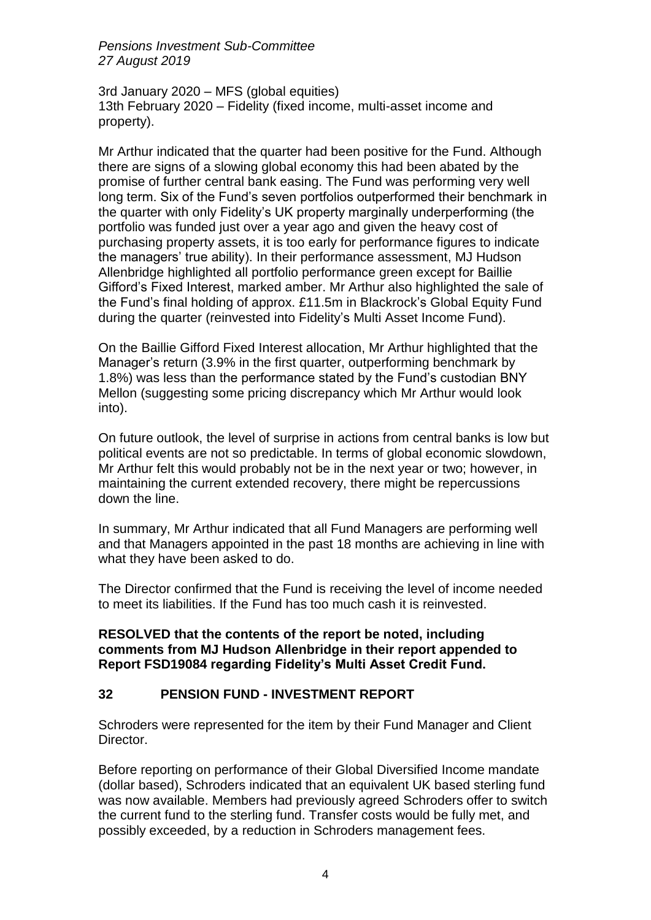*Pensions Investment Sub-Committee 27 August 2019*

3rd January 2020 – MFS (global equities) 13th February 2020 – Fidelity (fixed income, multi-asset income and property).

Mr Arthur indicated that the quarter had been positive for the Fund. Although there are signs of a slowing global economy this had been abated by the promise of further central bank easing. The Fund was performing very well long term. Six of the Fund's seven portfolios outperformed their benchmark in the quarter with only Fidelity's UK property marginally underperforming (the portfolio was funded just over a year ago and given the heavy cost of purchasing property assets, it is too early for performance figures to indicate the managers' true ability). In their performance assessment, MJ Hudson Allenbridge highlighted all portfolio performance green except for Baillie Gifford's Fixed Interest, marked amber. Mr Arthur also highlighted the sale of the Fund's final holding of approx. £11.5m in Blackrock's Global Equity Fund during the quarter (reinvested into Fidelity's Multi Asset Income Fund).

On the Baillie Gifford Fixed Interest allocation, Mr Arthur highlighted that the Manager's return (3.9% in the first quarter, outperforming benchmark by 1.8%) was less than the performance stated by the Fund's custodian BNY Mellon (suggesting some pricing discrepancy which Mr Arthur would look into).

On future outlook, the level of surprise in actions from central banks is low but political events are not so predictable. In terms of global economic slowdown, Mr Arthur felt this would probably not be in the next year or two; however, in maintaining the current extended recovery, there might be repercussions down the line.

In summary, Mr Arthur indicated that all Fund Managers are performing well and that Managers appointed in the past 18 months are achieving in line with what they have been asked to do.

The Director confirmed that the Fund is receiving the level of income needed to meet its liabilities. If the Fund has too much cash it is reinvested.

## **RESOLVED that the contents of the report be noted, including comments from MJ Hudson Allenbridge in their report appended to Report FSD19084 regarding Fidelity's Multi Asset Credit Fund.**

# **32 PENSION FUND - INVESTMENT REPORT**

Schroders were represented for the item by their Fund Manager and Client Director.

Before reporting on performance of their Global Diversified Income mandate (dollar based), Schroders indicated that an equivalent UK based sterling fund was now available. Members had previously agreed Schroders offer to switch the current fund to the sterling fund. Transfer costs would be fully met, and possibly exceeded, by a reduction in Schroders management fees.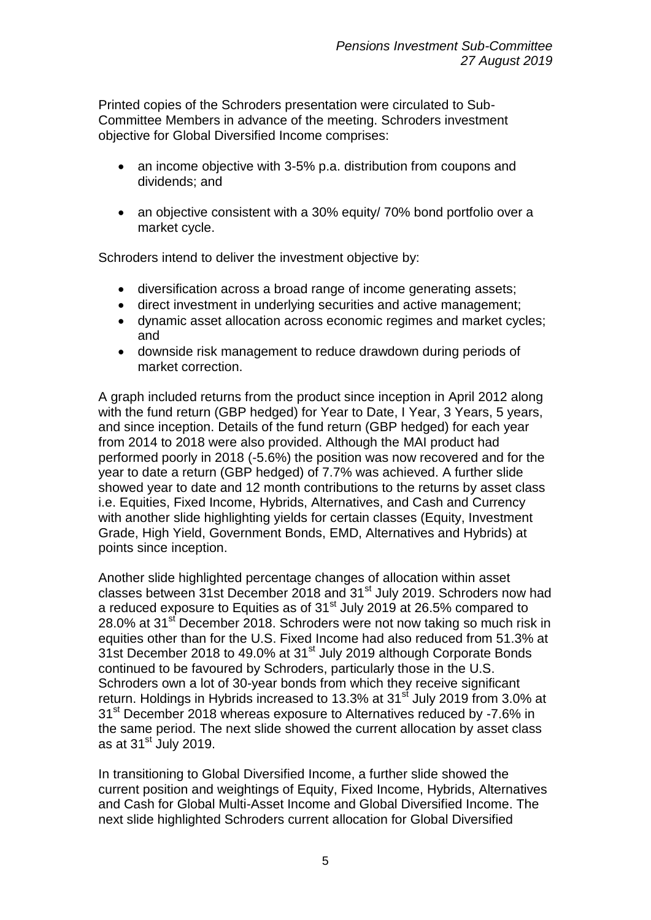Printed copies of the Schroders presentation were circulated to Sub-Committee Members in advance of the meeting. Schroders investment objective for Global Diversified Income comprises:

- an income objective with 3-5% p.a. distribution from coupons and dividends; and
- an objective consistent with a 30% equity/ 70% bond portfolio over a market cycle.

Schroders intend to deliver the investment objective by:

- diversification across a broad range of income generating assets;
- direct investment in underlying securities and active management;
- dynamic asset allocation across economic regimes and market cycles; and
- downside risk management to reduce drawdown during periods of market correction.

A graph included returns from the product since inception in April 2012 along with the fund return (GBP hedged) for Year to Date, I Year, 3 Years, 5 years, and since inception. Details of the fund return (GBP hedged) for each year from 2014 to 2018 were also provided. Although the MAI product had performed poorly in 2018 (-5.6%) the position was now recovered and for the year to date a return (GBP hedged) of 7.7% was achieved. A further slide showed year to date and 12 month contributions to the returns by asset class i.e. Equities, Fixed Income, Hybrids, Alternatives, and Cash and Currency with another slide highlighting yields for certain classes (Equity, Investment Grade, High Yield, Government Bonds, EMD, Alternatives and Hybrids) at points since inception.

Another slide highlighted percentage changes of allocation within asset classes between 31st December 2018 and 31<sup>st</sup> July 2019. Schroders now had a reduced exposure to Equities as of  $31<sup>st</sup>$  July 2019 at 26.5% compared to 28.0% at 31<sup>st</sup> December 2018. Schroders were not now taking so much risk in equities other than for the U.S. Fixed Income had also reduced from 51.3% at 31st December 2018 to 49.0% at 31<sup>st</sup> July 2019 although Corporate Bonds continued to be favoured by Schroders, particularly those in the U.S. Schroders own a lot of 30-year bonds from which they receive significant return. Holdings in Hybrids increased to 13.3% at 31<sup>st</sup> July 2019 from 3.0% at 31<sup>st</sup> December 2018 whereas exposure to Alternatives reduced by -7.6% in the same period. The next slide showed the current allocation by asset class as at  $31<sup>st</sup>$  July 2019.

In transitioning to Global Diversified Income, a further slide showed the current position and weightings of Equity, Fixed Income, Hybrids, Alternatives and Cash for Global Multi-Asset Income and Global Diversified Income. The next slide highlighted Schroders current allocation for Global Diversified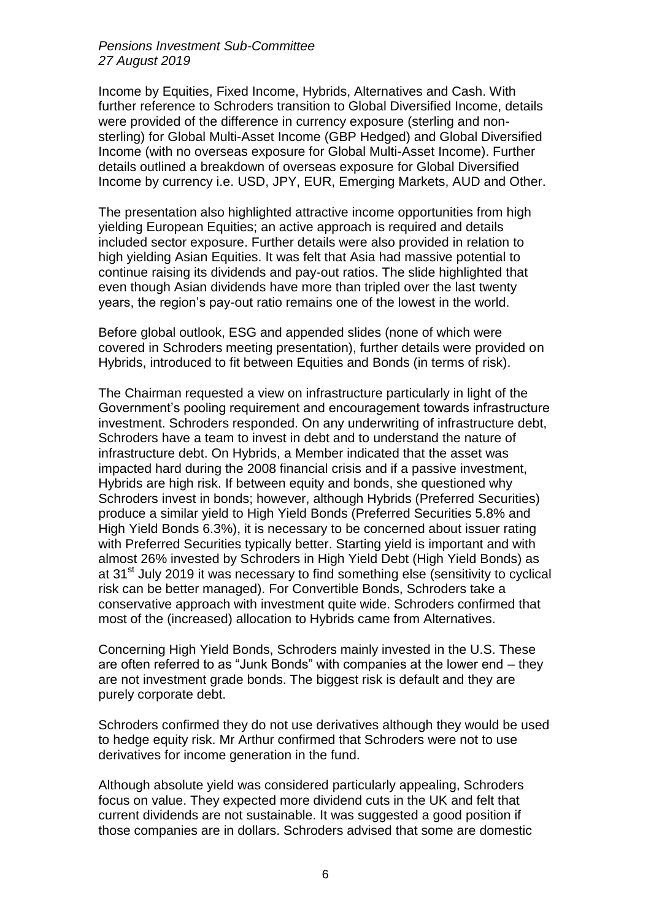*Pensions Investment Sub-Committee 27 August 2019*

Income by Equities, Fixed Income, Hybrids, Alternatives and Cash. With further reference to Schroders transition to Global Diversified Income, details were provided of the difference in currency exposure (sterling and nonsterling) for Global Multi-Asset Income (GBP Hedged) and Global Diversified Income (with no overseas exposure for Global Multi-Asset Income). Further details outlined a breakdown of overseas exposure for Global Diversified Income by currency i.e. USD, JPY, EUR, Emerging Markets, AUD and Other.

The presentation also highlighted attractive income opportunities from high yielding European Equities; an active approach is required and details included sector exposure. Further details were also provided in relation to high yielding Asian Equities. It was felt that Asia had massive potential to continue raising its dividends and pay-out ratios. The slide highlighted that even though Asian dividends have more than tripled over the last twenty years, the region's pay-out ratio remains one of the lowest in the world.

Before global outlook, ESG and appended slides (none of which were covered in Schroders meeting presentation), further details were provided on Hybrids, introduced to fit between Equities and Bonds (in terms of risk).

The Chairman requested a view on infrastructure particularly in light of the Government's pooling requirement and encouragement towards infrastructure investment. Schroders responded. On any underwriting of infrastructure debt, Schroders have a team to invest in debt and to understand the nature of infrastructure debt. On Hybrids, a Member indicated that the asset was impacted hard during the 2008 financial crisis and if a passive investment, Hybrids are high risk. If between equity and bonds, she questioned why Schroders invest in bonds; however, although Hybrids (Preferred Securities) produce a similar yield to High Yield Bonds (Preferred Securities 5.8% and High Yield Bonds 6.3%), it is necessary to be concerned about issuer rating with Preferred Securities typically better. Starting yield is important and with almost 26% invested by Schroders in High Yield Debt (High Yield Bonds) as at 31<sup>st</sup> July 2019 it was necessary to find something else (sensitivity to cyclical risk can be better managed). For Convertible Bonds, Schroders take a conservative approach with investment quite wide. Schroders confirmed that most of the (increased) allocation to Hybrids came from Alternatives.

Concerning High Yield Bonds, Schroders mainly invested in the U.S. These are often referred to as "Junk Bonds" with companies at the lower end – they are not investment grade bonds. The biggest risk is default and they are purely corporate debt.

Schroders confirmed they do not use derivatives although they would be used to hedge equity risk. Mr Arthur confirmed that Schroders were not to use derivatives for income generation in the fund.

Although absolute yield was considered particularly appealing, Schroders focus on value. They expected more dividend cuts in the UK and felt that current dividends are not sustainable. It was suggested a good position if those companies are in dollars. Schroders advised that some are domestic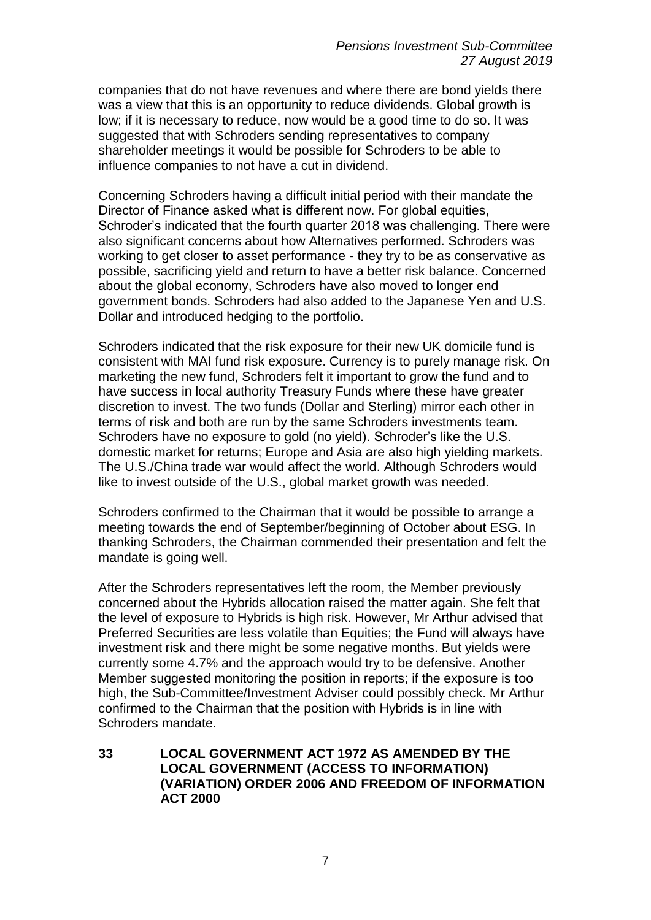companies that do not have revenues and where there are bond yields there was a view that this is an opportunity to reduce dividends. Global growth is low; if it is necessary to reduce, now would be a good time to do so. It was suggested that with Schroders sending representatives to company shareholder meetings it would be possible for Schroders to be able to influence companies to not have a cut in dividend.

Concerning Schroders having a difficult initial period with their mandate the Director of Finance asked what is different now. For global equities, Schroder's indicated that the fourth quarter 2018 was challenging. There were also significant concerns about how Alternatives performed. Schroders was working to get closer to asset performance - they try to be as conservative as possible, sacrificing yield and return to have a better risk balance. Concerned about the global economy, Schroders have also moved to longer end government bonds. Schroders had also added to the Japanese Yen and U.S. Dollar and introduced hedging to the portfolio.

Schroders indicated that the risk exposure for their new UK domicile fund is consistent with MAI fund risk exposure. Currency is to purely manage risk. On marketing the new fund, Schroders felt it important to grow the fund and to have success in local authority Treasury Funds where these have greater discretion to invest. The two funds (Dollar and Sterling) mirror each other in terms of risk and both are run by the same Schroders investments team. Schroders have no exposure to gold (no yield). Schroder's like the U.S. domestic market for returns; Europe and Asia are also high yielding markets. The U.S./China trade war would affect the world. Although Schroders would like to invest outside of the U.S., global market growth was needed.

Schroders confirmed to the Chairman that it would be possible to arrange a meeting towards the end of September/beginning of October about ESG. In thanking Schroders, the Chairman commended their presentation and felt the mandate is going well.

After the Schroders representatives left the room, the Member previously concerned about the Hybrids allocation raised the matter again. She felt that the level of exposure to Hybrids is high risk. However, Mr Arthur advised that Preferred Securities are less volatile than Equities; the Fund will always have investment risk and there might be some negative months. But yields were currently some 4.7% and the approach would try to be defensive. Another Member suggested monitoring the position in reports; if the exposure is too high, the Sub-Committee/Investment Adviser could possibly check. Mr Arthur confirmed to the Chairman that the position with Hybrids is in line with Schroders mandate.

**33 LOCAL GOVERNMENT ACT 1972 AS AMENDED BY THE LOCAL GOVERNMENT (ACCESS TO INFORMATION) (VARIATION) ORDER 2006 AND FREEDOM OF INFORMATION ACT 2000**